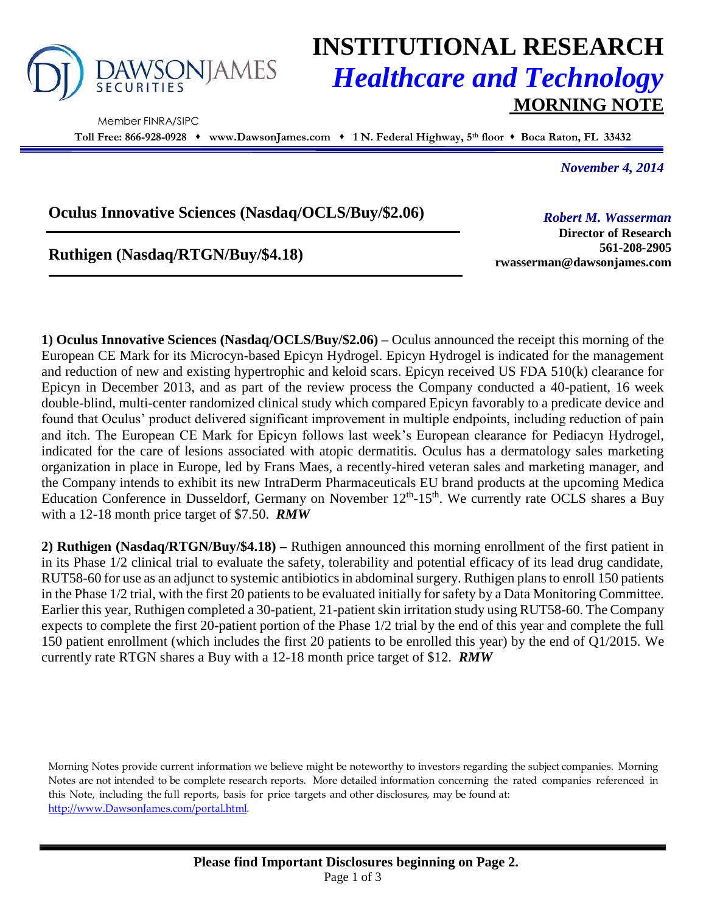

Member FINRA/SIPC

# **INSTITUTIONAL RESEARCH** *Healthcare and Technology* **MORNING NOTE**

**Toll Free: 866-928-0928 www.DawsonJames.com 1 N. Federal Highway, 5 th floor Boca Raton, FL 33432**

*November 4, 2014*

### **Oculus Innovative Sciences (Nasdaq/OCLS/Buy/\$2.06)**

## **Ruthigen (Nasdaq/RTGN/Buy/\$4.18)**

*Robert M. Wasserman* **Director of Research**

**561-208-2905 rwasserman@dawsonjames.com**

**1) Oculus Innovative Sciences (Nasdaq/OCLS/Buy/\$2.06) –** Oculus announced the receipt this morning of the European CE Mark for its Microcyn-based Epicyn Hydrogel. Epicyn Hydrogel is indicated for the management and reduction of new and existing hypertrophic and keloid scars. Epicyn received US FDA 510(k) clearance for Epicyn in December 2013, and as part of the review process the Company conducted a 40-patient, 16 week double-blind, multi-center randomized clinical study which compared Epicyn favorably to a predicate device and found that Oculus' product delivered significant improvement in multiple endpoints, including reduction of pain and itch. The European CE Mark for Epicyn follows last week's European clearance for Pediacyn Hydrogel, indicated for the care of lesions associated with atopic dermatitis. Oculus has a dermatology sales marketing organization in place in Europe, led by Frans Maes, a recently-hired veteran sales and marketing manager, and the Company intends to exhibit its new IntraDerm Pharmaceuticals EU brand products at the upcoming Medica Education Conference in Dusseldorf, Germany on November 12<sup>th</sup>-15<sup>th</sup>. We currently rate OCLS shares a Buy with a 12-18 month price target of \$7.50. *RMW*

**2) Ruthigen (Nasdaq/RTGN/Buy/\$4.18) –** Ruthigen announced this morning enrollment of the first patient in in its Phase 1/2 clinical trial to evaluate the safety, tolerability and potential efficacy of its lead drug candidate, RUT58-60 for use as an adjunct to systemic antibiotics in abdominal surgery. Ruthigen plansto enroll 150 patients in the Phase 1/2 trial, with the first 20 patients to be evaluated initially for safety by a Data Monitoring Committee. Earlier this year, Ruthigen completed a 30-patient, 21-patient skin irritation study using RUT58-60. The Company expects to complete the first 20-patient portion of the Phase 1/2 trial by the end of this year and complete the full 150 patient enrollment (which includes the first 20 patients to be enrolled this year) by the end of Q1/2015. We currently rate RTGN shares a Buy with a 12-18 month price target of \$12. *RMW*

Morning Notes provide current information we believe might be noteworthy to investors regarding the subject companies. Morning Notes are not intended to be complete research reports. More detailed information concerning the rated companies referenced in this Note, including the full reports, basis for price targets and other disclosures, may be found at: [http://www.DawsonJames.com/portal.html.](http://www.dawsonjames.com/portal.html)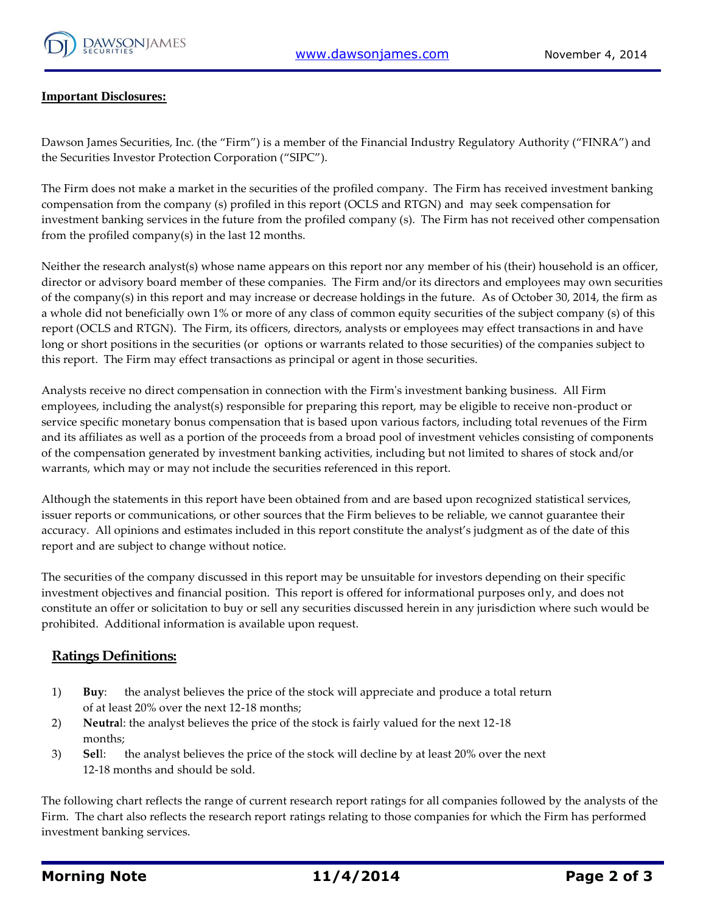

#### **Important Disclosures:**

Dawson James Securities, Inc. (the "Firm") is a member of the Financial Industry Regulatory Authority ("FINRA") and the Securities Investor Protection Corporation ("SIPC").

The Firm does not make a market in the securities of the profiled company. The Firm has received investment banking compensation from the company (s) profiled in this report (OCLS and RTGN) and may seek compensation for investment banking services in the future from the profiled company (s). The Firm has not received other compensation from the profiled company(s) in the last 12 months.

Neither the research analyst(s) whose name appears on this report nor any member of his (their) household is an officer, director or advisory board member of these companies. The Firm and/or its directors and employees may own securities of the company(s) in this report and may increase or decrease holdings in the future. As of October 30, 2014, the firm as a whole did not beneficially own 1% or more of any class of common equity securities of the subject company (s) of this report (OCLS and RTGN). The Firm, its officers, directors, analysts or employees may effect transactions in and have long or short positions in the securities (or options or warrants related to those securities) of the companies subject to this report. The Firm may effect transactions as principal or agent in those securities.

Analysts receive no direct compensation in connection with the Firm's investment banking business. All Firm employees, including the analyst(s) responsible for preparing this report, may be eligible to receive non-product or service specific monetary bonus compensation that is based upon various factors, including total revenues of the Firm and its affiliates as well as a portion of the proceeds from a broad pool of investment vehicles consisting of components of the compensation generated by investment banking activities, including but not limited to shares of stock and/or warrants, which may or may not include the securities referenced in this report.

Although the statements in this report have been obtained from and are based upon recognized statistical services, issuer reports or communications, or other sources that the Firm believes to be reliable, we cannot guarantee their accuracy. All opinions and estimates included in this report constitute the analyst's judgment as of the date of this report and are subject to change without notice.

The securities of the company discussed in this report may be unsuitable for investors depending on their specific investment objectives and financial position. This report is offered for informational purposes only, and does not constitute an offer or solicitation to buy or sell any securities discussed herein in any jurisdiction where such would be prohibited. Additional information is available upon request.

#### **Ratings Definitions:**

- 1) **Buy**: the analyst believes the price of the stock will appreciate and produce a total return of at least 20% over the next 12-18 months;
- 2) **Neutra**l: the analyst believes the price of the stock is fairly valued for the next 12-18 months;
- 3) **Sel**l: the analyst believes the price of the stock will decline by at least 20% over the next 12-18 months and should be sold.

The following chart reflects the range of current research report ratings for all companies followed by the analysts of the Firm. The chart also reflects the research report ratings relating to those companies for which the Firm has performed investment banking services.